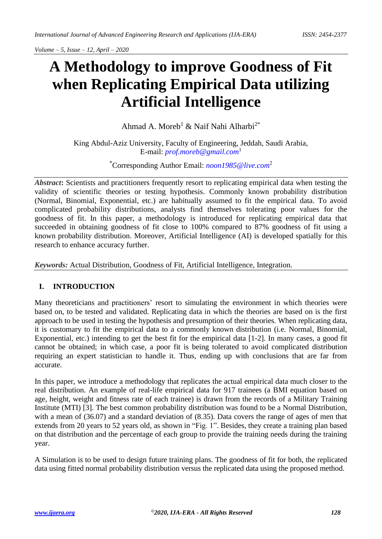# **A Methodology to improve Goodness of Fit when Replicating Empirical Data utilizing Artificial Intelligence**

Ahmad A. Moreb<sup>1</sup> & Naif Nahi Alharbi<sup>2\*</sup>

King Abdul-Aziz University, Faculty of Engineering, Jeddah, Saudi Arabia, E-mail: *[prof.moreb@gmail.com](mailto:prof.moreb@gmail.com)*<sup>1</sup>

\*Corresponding Author Email: *[noon1985@live.com](mailto:noon1985@live.com)*<sup>2</sup>

*Abstract***:** Scientists and practitioners frequently resort to replicating empirical data when testing the validity of scientific theories or testing hypothesis. Commonly known probability distribution (Normal, Binomial, Exponential, etc.) are habitually assumed to fit the empirical data. To avoid complicated probability distributions, analysts find themselves tolerating poor values for the goodness of fit. In this paper, a methodology is introduced for replicating empirical data that succeeded in obtaining goodness of fit close to 100% compared to 87% goodness of fit using a known probability distribution. Moreover, Artificial Intelligence (AI) is developed spatially for this research to enhance accuracy further.

*Keywords:* Actual Distribution, Goodness of Fit, Artificial Intelligence, Integration.

# **I. INTRODUCTION**

Many theoreticians and practitioners' resort to simulating the environment in which theories were based on, to be tested and validated. Replicating data in which the theories are based on is the first approach to be used in testing the hypothesis and presumption of their theories. When replicating data, it is customary to fit the empirical data to a commonly known distribution (i.e. Normal, Binomial, Exponential, etc.) intending to get the best fit for the empirical data [1-2]. In many cases, a good fit cannot be obtained; in which case, a poor fit is being tolerated to avoid complicated distribution requiring an expert statistician to handle it. Thus, ending up with conclusions that are far from accurate.

In this paper, we introduce a methodology that replicates the actual empirical data much closer to the real distribution. An example of real-life empirical data for 917 trainees (a BMI equation based on age, height, weight and fitness rate of each trainee) is drawn from the records of a Military Training Institute (MTI) [3]. The best common probability distribution was found to be a Normal Distribution, with a mean of (36.07) and a standard deviation of (8.35). Data covers the range of ages of men that extends from 20 years to 52 years old, as shown in "Fig. 1". Besides, they create a training plan based on that distribution and the percentage of each group to provide the training needs during the training year.

A Simulation is to be used to design future training plans. The goodness of fit for both, the replicated data using fitted normal probability distribution versus the replicated data using the proposed method.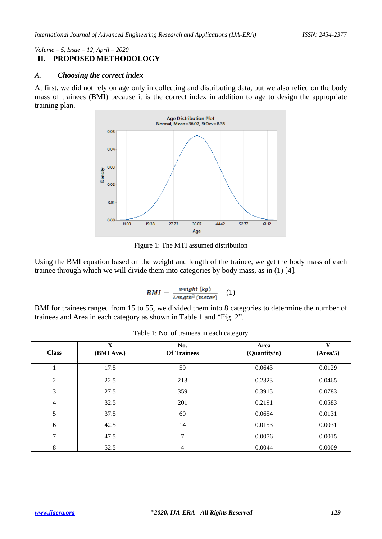# **II. PROPOSED METHODOLOGY**

#### *A. Choosing the correct index*

At first, we did not rely on age only in collecting and distributing data, but we also relied on the body mass of trainees (BMI) because it is the correct index in addition to age to design the appropriate training plan.



Figure 1: The MTI assumed distribution

Using the BMI equation based on the weight and length of the trainee, we get the body mass of each trainee through which we will divide them into categories by body mass, as in (1) [4].

$$
BMI = \frac{weight (kg)}{Length^2 (meter)} \quad (1)
$$

BMI for trainees ranged from 15 to 55, we divided them into 8 categories to determine the number of trainees and Area in each category as shown in Table 1 and "Fig. 2".

| <b>Class</b>   | $\mathbf X$<br>(BMI Ave.) | No.<br><b>Of Trainees</b> | Area<br>(Quantity/n) | Y<br>(Area/5) |
|----------------|---------------------------|---------------------------|----------------------|---------------|
|                | 17.5                      | 59                        | 0.0643               | 0.0129        |
| $\overline{2}$ | 22.5                      | 213                       | 0.2323               | 0.0465        |
| 3              | 27.5                      | 359                       | 0.3915               | 0.0783        |
| $\overline{4}$ | 32.5                      | 201                       | 0.2191               | 0.0583        |
| 5              | 37.5                      | 60                        | 0.0654               | 0.0131        |
| 6              | 42.5                      | 14                        | 0.0153               | 0.0031        |
| 7              | 47.5                      | 7                         | 0.0076               | 0.0015        |
| 8              | 52.5                      | 4                         | 0.0044               | 0.0009        |

Table 1: No. of trainees in each category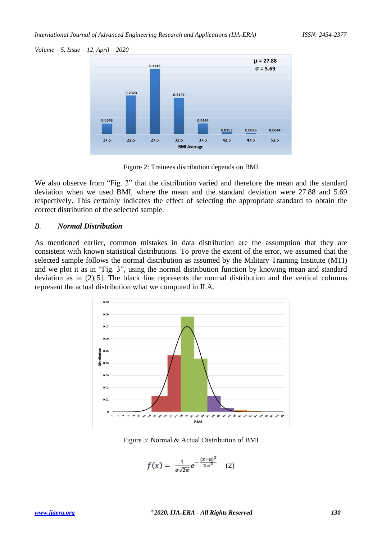

Figure 2: Trainees distribution depends on BMI

We also observe from "Fig. 2" that the distribution varied and therefore the mean and the standard deviation when we used BMI, where the mean and the standard deviation were 27.88 and 5.69 respectively. This certainly indicates the effect of selecting the appropriate standard to obtain the correct distribution of the selected sample.

#### *B. Normal Distribution*

As mentioned earlier, common mistakes in data distribution are the assumption that they are consistent with known statistical distributions. To prove the extent of the error, we assumed that the selected sample follows the normal distribution as assumed by the Military Training Institute (MTI) and we plot it as in "Fig. 3", using the normal distribution function by knowing mean and standard deviation as in (2)[5]. The black line represents the normal distribution and the vertical columns represent the actual distribution what we computed in II.A.



Figure 3: Normal & Actual Distribution of BMI

$$
f(x) = \frac{1}{\sigma \sqrt{2\pi}} e^{-\frac{(x-\mu)^2}{2\sigma^2}} \quad (2)
$$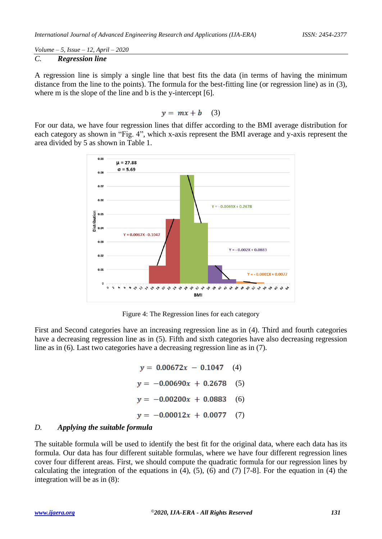*Volume – 5, Issue – 12, April – 2020 C. Regression line*

A regression line is simply a single line that best fits the data (in terms of having the minimum distance from the line to the points). The formula for the best-fitting line (or regression line) as in (3), where m is the slope of the line and b is the y-intercept [6].

$$
y = mx + b \quad (3)
$$

For our data, we have four regression lines that differ according to the BMI average distribution for each category as shown in "Fig. 4", which x-axis represent the BMI average and y-axis represent the area divided by 5 as shown in Table 1.



Figure 4: The Regression lines for each category

First and Second categories have an increasing regression line as in (4). Third and fourth categories have a decreasing regression line as in (5). Fifth and sixth categories have also decreasing regression line as in (6). Last two categories have a decreasing regression line as in (7).

> $y = 0.00672x - 0.1047$  (4)  $y = -0.00690x + 0.2678$  (5)  $y = -0.00200x + 0.0883$  (6)  $y = -0.00012x + 0.0077$ (7)

## *D. Applying the suitable formula*

The suitable formula will be used to identify the best fit for the original data, where each data has its formula. Our data has four different suitable formulas, where we have four different regression lines cover four different areas. First, we should compute the quadratic formula for our regression lines by calculating the integration of the equations in  $(4)$ ,  $(5)$ ,  $(6)$  and  $(7)$  [7-8]. For the equation in  $(4)$  the integration will be as in (8):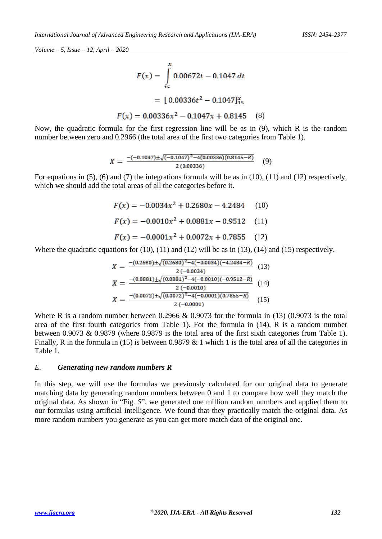$$
F(x) = \int_{15}^{x} 0.00672t - 0.1047 dt
$$

$$
= [0.00336t^{2} - 0.1047]_{15}^{x}
$$

$$
F(x) = 0.00336x^{2} - 0.1047x + 0.8145
$$
 (8)

Now, the quadratic formula for the first regression line will be as in (9), which R is the random number between zero and 0.2966 (the total area of the first two categories from Table 1).

$$
X = \frac{-(-0.1047) \pm \sqrt{(-0.1047)^2 - 4(0.00336)(0.8145 - R)}}{2(0.00336)}
$$
(9)

For equations in (5), (6) and (7) the integrations formula will be as in (10), (11) and (12) respectively, which we should add the total areas of all the categories before it.

> $F(x) = -0.0034x^{2} + 0.2680x - 4.2484$  (10)  $F(x) = -0.0010x^{2} + 0.0881x - 0.9512$  (11)  $F(x) = -0.0001x^2 + 0.0072x + 0.7855$  (12)

Where the quadratic equations for  $(10)$ ,  $(11)$  and  $(12)$  will be as in  $(13)$ ,  $(14)$  and  $(15)$  respectively.

$$
X = \frac{-(0.2680) \pm \sqrt{(0.2680)^2 - 4(-0.0034)(-4.2484 - R)}}{2(-0.0034)}
$$
(13)  
\n
$$
X = \frac{-(0.0881) \pm \sqrt{(0.0881)^2 - 4(-0.0010)(-0.9512 - R)}}{2(-0.0010)}
$$
(14)  
\n
$$
X = \frac{-(0.0072) \pm \sqrt{(0.0072)^2 - 4(-0.0001)(0.7855 - R)}}{2(-0.0001)}
$$
(15)

Where R is a random number between 0.2966 & 0.9073 for the formula in  $(13)$   $(0.9073$  is the total area of the first fourth categories from Table 1). For the formula in (14), R is a random number between 0.9073 & 0.9879 (where 0.9879 is the total area of the first sixth categories from Table 1). Finally, R in the formula in (15) is between 0.9879  $& 1$  which 1 is the total area of all the categories in Table 1.

#### *E. Generating new random numbers R*

In this step, we will use the formulas we previously calculated for our original data to generate matching data by generating random numbers between 0 and 1 to compare how well they match the original data. As shown in "Fig. 5", we generated one million random numbers and applied them to our formulas using artificial intelligence. We found that they practically match the original data. As more random numbers you generate as you can get more match data of the original one.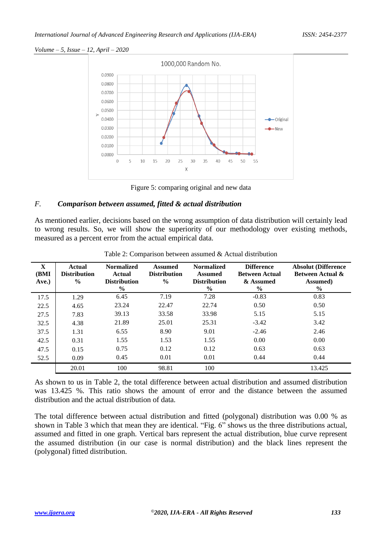

Figure 5: comparing original and new data

## *F. Comparison between assumed, fitted & actual distribution*

As mentioned earlier, decisions based on the wrong assumption of data distribution will certainly lead to wrong results. So, we will show the superiority of our methodology over existing methods, measured as a percent error from the actual empirical data.

| $\mathbf X$<br>(BMI<br>Ave.) | <b>Actual</b><br><b>Distribution</b><br>$\frac{6}{6}$ | <b>Normalized</b><br>Actual<br><b>Distribution</b><br>$\frac{6}{6}$ | <b>Assumed</b><br><b>Distribution</b><br>$\frac{0}{0}$ | <b>Normalized</b><br>Assumed<br><b>Distribution</b><br>$\frac{6}{6}$ | <b>Difference</b><br><b>Between Actual</b><br>& Assumed<br>$\frac{6}{9}$ | <b>Absolut (Difference</b><br><b>Between Actual &amp;</b><br><b>Assumed</b> )<br>$\%$ |
|------------------------------|-------------------------------------------------------|---------------------------------------------------------------------|--------------------------------------------------------|----------------------------------------------------------------------|--------------------------------------------------------------------------|---------------------------------------------------------------------------------------|
| 17.5                         | 1.29                                                  | 6.45                                                                | 7.19                                                   | 7.28                                                                 | $-0.83$                                                                  | 0.83                                                                                  |
| 22.5                         | 4.65                                                  | 23.24                                                               | 22.47                                                  | 22.74                                                                | 0.50                                                                     | 0.50                                                                                  |
| 27.5                         | 7.83                                                  | 39.13                                                               | 33.58                                                  | 33.98                                                                | 5.15                                                                     | 5.15                                                                                  |
| 32.5                         | 4.38                                                  | 21.89                                                               | 25.01                                                  | 25.31                                                                | $-3.42$                                                                  | 3.42                                                                                  |
| 37.5                         | 1.31                                                  | 6.55                                                                | 8.90                                                   | 9.01                                                                 | $-2.46$                                                                  | 2.46                                                                                  |
| 42.5                         | 0.31                                                  | 1.55                                                                | 1.53                                                   | 1.55                                                                 | 0.00                                                                     | 0.00                                                                                  |
| 47.5                         | 0.15                                                  | 0.75                                                                | 0.12                                                   | 0.12                                                                 | 0.63                                                                     | 0.63                                                                                  |
| 52.5                         | 0.09                                                  | 0.45                                                                | 0.01                                                   | 0.01                                                                 | 0.44                                                                     | 0.44                                                                                  |
|                              | 20.01                                                 | 100                                                                 | 98.81                                                  | 100                                                                  |                                                                          | 13.425                                                                                |

Table 2: Comparison between assumed & Actual distribution

As shown to us in Table 2, the total difference between actual distribution and assumed distribution was 13.425 %. This ratio shows the amount of error and the distance between the assumed distribution and the actual distribution of data.

The total difference between actual distribution and fitted (polygonal) distribution was 0.00 % as shown in Table 3 which that mean they are identical. "Fig. 6" shows us the three distributions actual, assumed and fitted in one graph. Vertical bars represent the actual distribution, blue curve represent the assumed distribution (in our case is normal distribution) and the black lines represent the (polygonal) fitted distribution.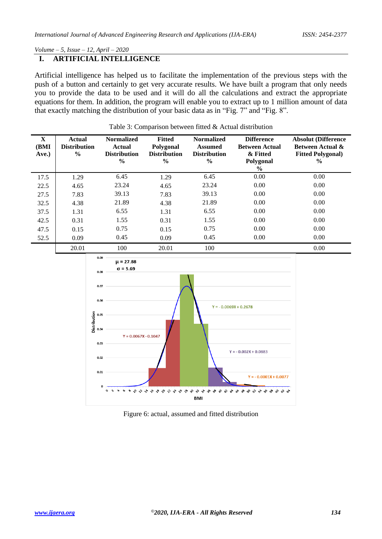## **I. ARTIFICIAL INTELLIGENCE**

Artificial intelligence has helped us to facilitate the implementation of the previous steps with the push of a button and certainly to get very accurate results. We have built a program that only needs you to provide the data to be used and it will do all the calculations and extract the appropriate equations for them. In addition, the program will enable you to extract up to 1 million amount of data that exactly matching the distribution of your basic data as in "Fig. 7" and "Fig. 8".

| $\mathbf X$<br>(BMI<br>Ave.) | <b>Actual</b><br><b>Distribution</b><br>$\frac{6}{6}$ | <b>Normalized</b><br>Actual<br><b>Distribution</b><br>$\frac{6}{6}$ | <b>Fitted</b><br>Polygonal<br><b>Distribution</b><br>$\frac{6}{9}$ | <b>Normalized</b><br><b>Assumed</b><br><b>Distribution</b><br>$\frac{6}{9}$ | <b>Difference</b><br><b>Between Actual</b><br>& Fitted<br>Polygonal<br>$\%$ | <b>Absolut (Difference</b><br><b>Between Actual &amp;</b><br><b>Fitted Polygonal</b> )<br>$\frac{6}{6}$ |
|------------------------------|-------------------------------------------------------|---------------------------------------------------------------------|--------------------------------------------------------------------|-----------------------------------------------------------------------------|-----------------------------------------------------------------------------|---------------------------------------------------------------------------------------------------------|
| 17.5                         | 1.29                                                  | 6.45                                                                | 1.29                                                               | 6.45                                                                        | 0.00                                                                        | 0.00                                                                                                    |
| 22.5                         | 4.65                                                  | 23.24                                                               | 4.65                                                               | 23.24                                                                       | 0.00                                                                        | 0.00                                                                                                    |
| 27.5                         | 7.83                                                  | 39.13                                                               | 7.83                                                               | 39.13                                                                       | 0.00                                                                        | 0.00                                                                                                    |
| 32.5                         | 4.38                                                  | 21.89                                                               | 4.38                                                               | 21.89                                                                       | 0.00                                                                        | 0.00                                                                                                    |
| 37.5                         | 1.31                                                  | 6.55                                                                | 1.31                                                               | 6.55                                                                        | 0.00                                                                        | 0.00                                                                                                    |
| 42.5                         | 0.31                                                  | 1.55                                                                | 0.31                                                               | 1.55                                                                        | 0.00                                                                        | 0.00                                                                                                    |
| 47.5                         | 0.15                                                  | 0.75                                                                | 0.15                                                               | 0.75                                                                        | 0.00                                                                        | 0.00                                                                                                    |
| 52.5                         | 0.09                                                  | 0.45                                                                | 0.09                                                               | 0.45                                                                        | 0.00                                                                        | 0.00                                                                                                    |
|                              | 20.01                                                 | 100                                                                 | 20.01                                                              | 100                                                                         |                                                                             | 0.00                                                                                                    |





Figure 6: actual, assumed and fitted distribution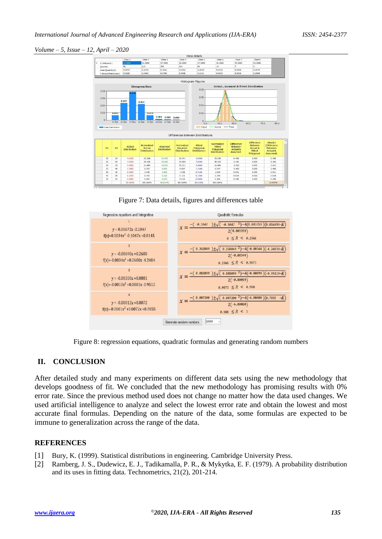

Figure 7: Data details, figures and differences table



Figure 8: regression equations, quadratic formulas and generating random numbers

## **II. CONCLUSION**

After detailed study and many experiments on different data sets using the new methodology that develops goodness of fit. We concluded that the new methodology has promising results with 0% error rate. Since the previous method used does not change no matter how the data used changes. We used artificial intelligence to analyze and select the lowest error rate and obtain the lowest and most accurate final formulas. Depending on the nature of the data, some formulas are expected to be immune to generalization across the range of the data.

## **REFERENCES**

- [1] Bury, K. (1999). Statistical distributions in engineering. Cambridge University Press.
- [2] Ramberg, J. S., Dudewicz, E. J., Tadikamalla, P. R., & Mykytka, E. F. (1979). A probability distribution and its uses in fitting data. Technometrics, 21(2), 201-214.